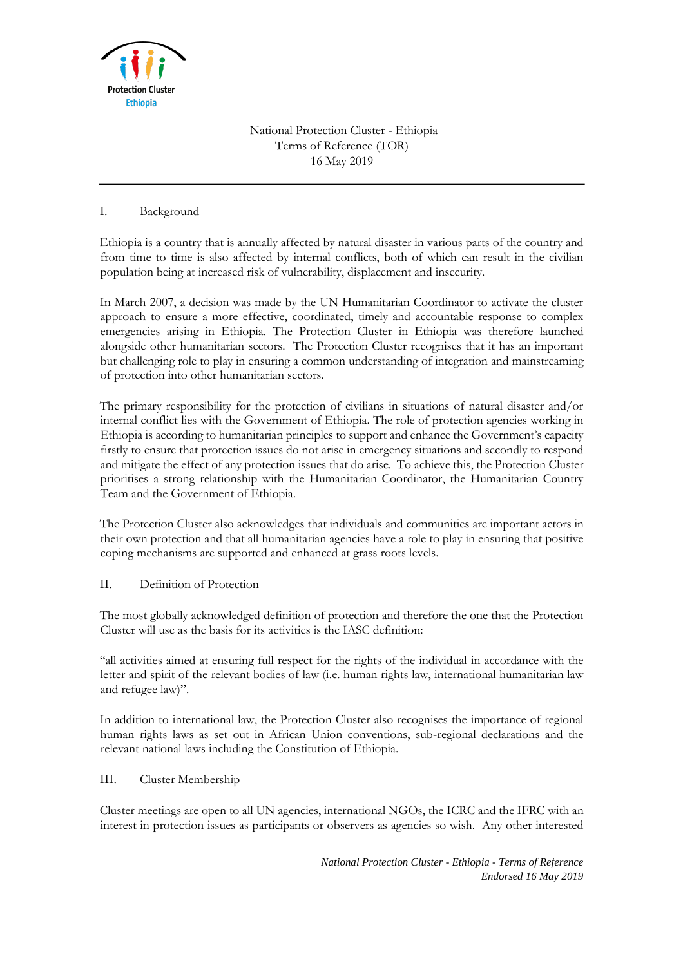

National Protection Cluster - Ethiopia Terms of Reference (TOR) 16 May 2019

# I. Background

Ethiopia is a country that is annually affected by natural disaster in various parts of the country and from time to time is also affected by internal conflicts, both of which can result in the civilian population being at increased risk of vulnerability, displacement and insecurity.

In March 2007, a decision was made by the UN Humanitarian Coordinator to activate the cluster approach to ensure a more effective, coordinated, timely and accountable response to complex emergencies arising in Ethiopia. The Protection Cluster in Ethiopia was therefore launched alongside other humanitarian sectors. The Protection Cluster recognises that it has an important but challenging role to play in ensuring a common understanding of integration and mainstreaming of protection into other humanitarian sectors.

The primary responsibility for the protection of civilians in situations of natural disaster and/or internal conflict lies with the Government of Ethiopia. The role of protection agencies working in Ethiopia is according to humanitarian principles to support and enhance the Government's capacity firstly to ensure that protection issues do not arise in emergency situations and secondly to respond and mitigate the effect of any protection issues that do arise. To achieve this, the Protection Cluster prioritises a strong relationship with the Humanitarian Coordinator, the Humanitarian Country Team and the Government of Ethiopia.

The Protection Cluster also acknowledges that individuals and communities are important actors in their own protection and that all humanitarian agencies have a role to play in ensuring that positive coping mechanisms are supported and enhanced at grass roots levels.

### II. Definition of Protection

The most globally acknowledged definition of protection and therefore the one that the Protection Cluster will use as the basis for its activities is the IASC definition:

"all activities aimed at ensuring full respect for the rights of the individual in accordance with the letter and spirit of the relevant bodies of law (i.e. human rights law, international humanitarian law and refugee law)".

In addition to international law, the Protection Cluster also recognises the importance of regional human rights laws as set out in African Union conventions, sub-regional declarations and the relevant national laws including the Constitution of Ethiopia.

### III. Cluster Membership

Cluster meetings are open to all UN agencies, international NGOs, the ICRC and the IFRC with an interest in protection issues as participants or observers as agencies so wish. Any other interested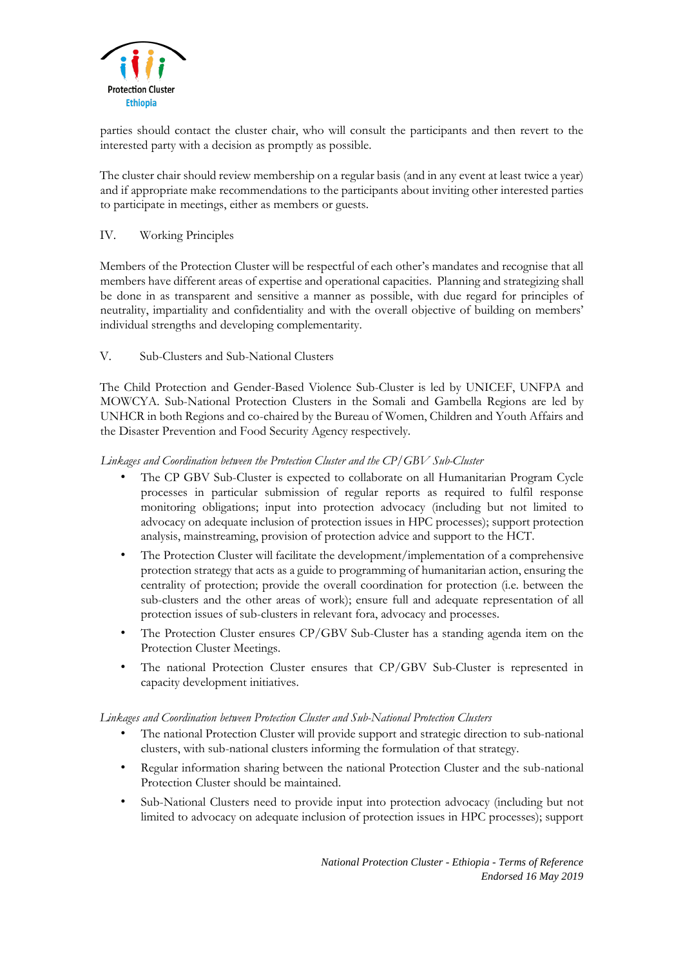

parties should contact the cluster chair, who will consult the participants and then revert to the interested party with a decision as promptly as possible.

The cluster chair should review membership on a regular basis (and in any event at least twice a year) and if appropriate make recommendations to the participants about inviting other interested parties to participate in meetings, either as members or guests.

# IV. Working Principles

Members of the Protection Cluster will be respectful of each other's mandates and recognise that all members have different areas of expertise and operational capacities. Planning and strategizing shall be done in as transparent and sensitive a manner as possible, with due regard for principles of neutrality, impartiality and confidentiality and with the overall objective of building on members' individual strengths and developing complementarity.

# V. Sub-Clusters and Sub-National Clusters

The Child Protection and Gender-Based Violence Sub-Cluster is led by UNICEF, UNFPA and MOWCYA. Sub-National Protection Clusters in the Somali and Gambella Regions are led by UNHCR in both Regions and co-chaired by the Bureau of Women, Children and Youth Affairs and the Disaster Prevention and Food Security Agency respectively.

# *Linkages and Coordination between the Protection Cluster and the CP/GBV Sub-Cluster*

- The CP GBV Sub-Cluster is expected to collaborate on all Humanitarian Program Cycle processes in particular submission of regular reports as required to fulfil response monitoring obligations; input into protection advocacy (including but not limited to advocacy on adequate inclusion of protection issues in HPC processes); support protection analysis, mainstreaming, provision of protection advice and support to the HCT.
- The Protection Cluster will facilitate the development/implementation of a comprehensive protection strategy that acts as a guide to programming of humanitarian action, ensuring the centrality of protection; provide the overall coordination for protection (i.e. between the sub-clusters and the other areas of work); ensure full and adequate representation of all protection issues of sub-clusters in relevant fora, advocacy and processes.
- The Protection Cluster ensures CP/GBV Sub-Cluster has a standing agenda item on the Protection Cluster Meetings.
- The national Protection Cluster ensures that CP/GBV Sub-Cluster is represented in capacity development initiatives.

### *Linkages and Coordination between Protection Cluster and Sub-National Protection Clusters*

- The national Protection Cluster will provide support and strategic direction to sub-national clusters, with sub-national clusters informing the formulation of that strategy.
- Regular information sharing between the national Protection Cluster and the sub-national Protection Cluster should be maintained.
- Sub-National Clusters need to provide input into protection advocacy (including but not limited to advocacy on adequate inclusion of protection issues in HPC processes); support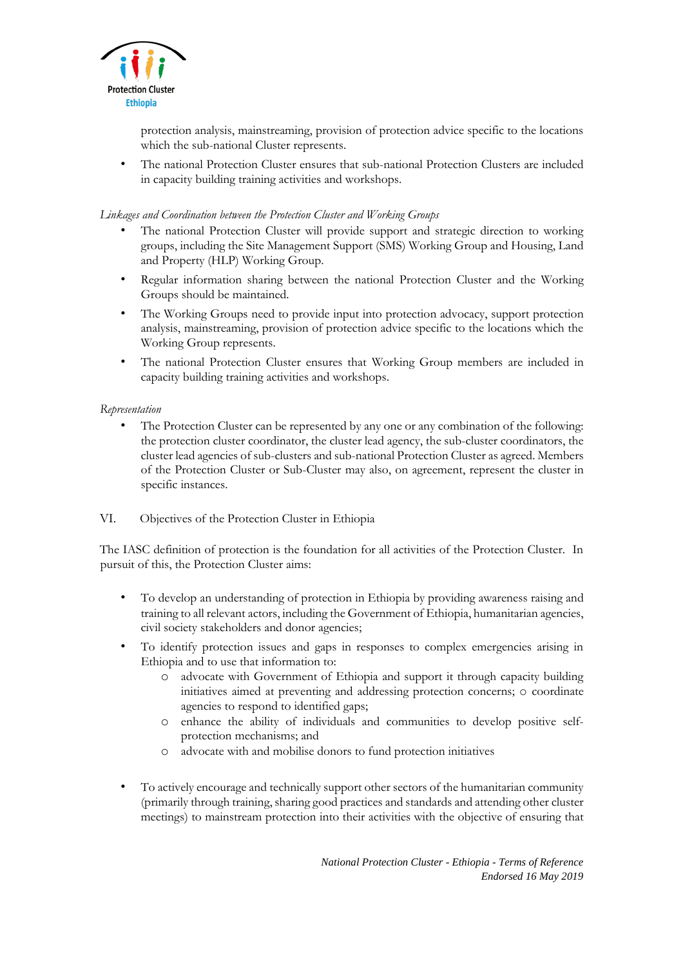

protection analysis, mainstreaming, provision of protection advice specific to the locations which the sub-national Cluster represents.

• The national Protection Cluster ensures that sub-national Protection Clusters are included in capacity building training activities and workshops.

### *Linkages and Coordination between the Protection Cluster and Working Groups*

- The national Protection Cluster will provide support and strategic direction to working groups, including the Site Management Support (SMS) Working Group and Housing, Land and Property (HLP) Working Group.
- Regular information sharing between the national Protection Cluster and the Working Groups should be maintained.
- The Working Groups need to provide input into protection advocacy, support protection analysis, mainstreaming, provision of protection advice specific to the locations which the Working Group represents.
- The national Protection Cluster ensures that Working Group members are included in capacity building training activities and workshops.

# *Representation*

The Protection Cluster can be represented by any one or any combination of the following: the protection cluster coordinator, the cluster lead agency, the sub-cluster coordinators, the cluster lead agencies of sub-clusters and sub-national Protection Cluster as agreed. Members of the Protection Cluster or Sub-Cluster may also, on agreement, represent the cluster in specific instances.

### VI. Objectives of the Protection Cluster in Ethiopia

The IASC definition of protection is the foundation for all activities of the Protection Cluster. In pursuit of this, the Protection Cluster aims:

- To develop an understanding of protection in Ethiopia by providing awareness raising and training to all relevant actors, including the Government of Ethiopia, humanitarian agencies, civil society stakeholders and donor agencies;
- To identify protection issues and gaps in responses to complex emergencies arising in Ethiopia and to use that information to:
	- o advocate with Government of Ethiopia and support it through capacity building initiatives aimed at preventing and addressing protection concerns; o coordinate agencies to respond to identified gaps;
	- o enhance the ability of individuals and communities to develop positive selfprotection mechanisms; and
	- o advocate with and mobilise donors to fund protection initiatives
- To actively encourage and technically support other sectors of the humanitarian community (primarily through training, sharing good practices and standards and attending other cluster meetings) to mainstream protection into their activities with the objective of ensuring that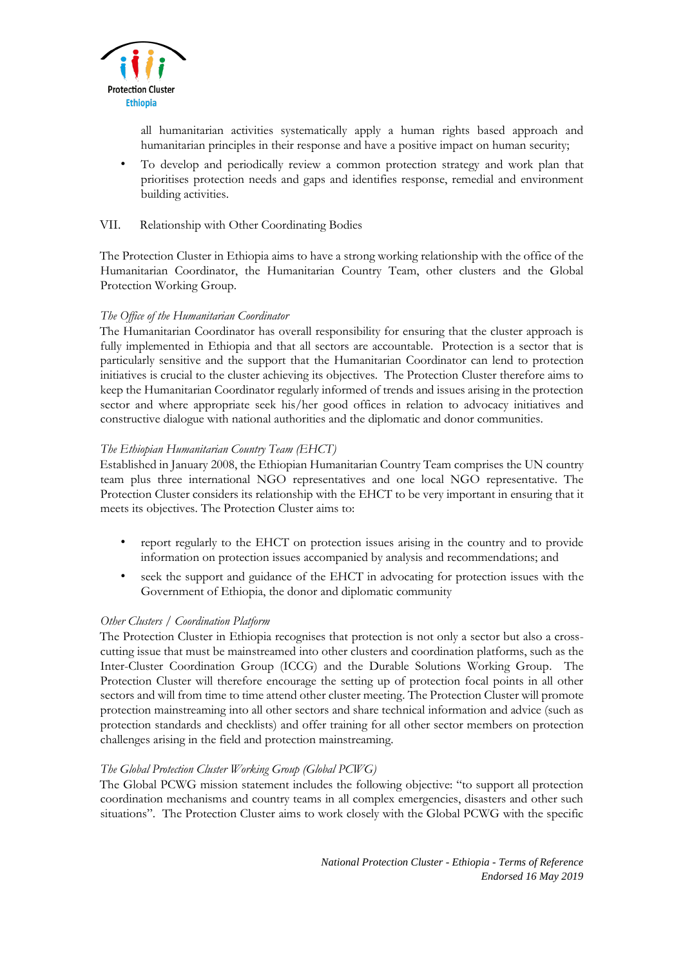

all humanitarian activities systematically apply a human rights based approach and humanitarian principles in their response and have a positive impact on human security;

• To develop and periodically review a common protection strategy and work plan that prioritises protection needs and gaps and identifies response, remedial and environment building activities.

### VII. Relationship with Other Coordinating Bodies

The Protection Cluster in Ethiopia aims to have a strong working relationship with the office of the Humanitarian Coordinator, the Humanitarian Country Team, other clusters and the Global Protection Working Group.

# *The Office of the Humanitarian Coordinator*

The Humanitarian Coordinator has overall responsibility for ensuring that the cluster approach is fully implemented in Ethiopia and that all sectors are accountable. Protection is a sector that is particularly sensitive and the support that the Humanitarian Coordinator can lend to protection initiatives is crucial to the cluster achieving its objectives. The Protection Cluster therefore aims to keep the Humanitarian Coordinator regularly informed of trends and issues arising in the protection sector and where appropriate seek his/her good offices in relation to advocacy initiatives and constructive dialogue with national authorities and the diplomatic and donor communities.

# *The Ethiopian Humanitarian Country Team (EHCT)*

Established in January 2008, the Ethiopian Humanitarian Country Team comprises the UN country team plus three international NGO representatives and one local NGO representative. The Protection Cluster considers its relationship with the EHCT to be very important in ensuring that it meets its objectives. The Protection Cluster aims to:

- report regularly to the EHCT on protection issues arising in the country and to provide information on protection issues accompanied by analysis and recommendations; and
- seek the support and guidance of the EHCT in advocating for protection issues with the Government of Ethiopia, the donor and diplomatic community

# *Other Clusters / Coordination Platform*

The Protection Cluster in Ethiopia recognises that protection is not only a sector but also a crosscutting issue that must be mainstreamed into other clusters and coordination platforms, such as the Inter-Cluster Coordination Group (ICCG) and the Durable Solutions Working Group. The Protection Cluster will therefore encourage the setting up of protection focal points in all other sectors and will from time to time attend other cluster meeting. The Protection Cluster will promote protection mainstreaming into all other sectors and share technical information and advice (such as protection standards and checklists) and offer training for all other sector members on protection challenges arising in the field and protection mainstreaming.

### *The Global Protection Cluster Working Group (Global PCWG)*

The Global PCWG mission statement includes the following objective: "to support all protection coordination mechanisms and country teams in all complex emergencies, disasters and other such situations". The Protection Cluster aims to work closely with the Global PCWG with the specific